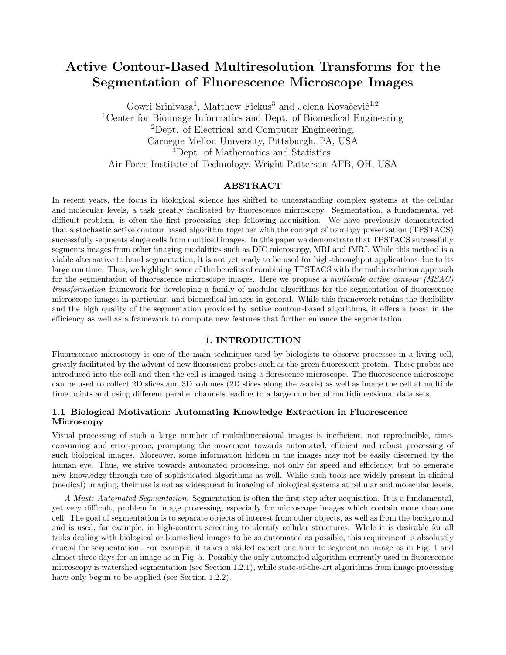# Active Contour-Based Multiresolution Transforms for the Segmentation of Fluorescence Microscope Images

Gowri Srinivasa<sup>1</sup>, Matthew Fickus<sup>3</sup> and Jelena Kovačević<sup>1,2</sup> <sup>1</sup>Center for Bioimage Informatics and Dept. of Biomedical Engineering <sup>2</sup>Dept. of Electrical and Computer Engineering, Carnegie Mellon University, Pittsburgh, PA, USA <sup>3</sup>Dept. of Mathematics and Statistics, Air Force Institute of Technology, Wright-Patterson AFB, OH, USA

## ABSTRACT

In recent years, the focus in biological science has shifted to understanding complex systems at the cellular and molecular levels, a task greatly facilitated by fluorescence microscopy. Segmentation, a fundamental yet difficult problem, is often the first processing step following acquisition. We have previously demonstrated that a stochastic active contour based algorithm together with the concept of topology preservation (TPSTACS) successfully segments single cells from multicell images. In this paper we demonstrate that TPSTACS successfully segments images from other imaging modalities such as DIC microscopy, MRI and fMRI. While this method is a viable alternative to hand segmentation, it is not yet ready to be used for high-throughput applications due to its large run time. Thus, we highlight some of the benefits of combining TPSTACS with the multiresolution approach for the segmentation of fluorescence microscope images. Here we propose a multiscale active contour (MSAC) transformation framework for developing a family of modular algorithms for the segmentation of fluorescence microscope images in particular, and biomedical images in general. While this framework retains the flexibility and the high quality of the segmentation provided by active contour-based algorithms, it offers a boost in the efficiency as well as a framework to compute new features that further enhance the segmentation.

## 1. INTRODUCTION

Fluorescence microscopy is one of the main techniques used by biologists to observe processes in a living cell, greatly facilitated by the advent of new fluorescent probes such as the green fluorescent protein. These probes are introduced into the cell and then the cell is imaged using a florescence microscope. The fluorescence microscope can be used to collect 2D slices and 3D volumes (2D slices along the z-axis) as well as image the cell at multiple time points and using different parallel channels leading to a large number of multidimensional data sets.

## 1.1 Biological Motivation: Automating Knowledge Extraction in Fluorescence Microscopy

Visual processing of such a large number of multidimensional images is inefficient, not reproducible, timeconsuming and error-prone, prompting the movement towards automated, efficient and robust processing of such biological images. Moreover, some information hidden in the images may not be easily discerned by the human eye. Thus, we strive towards automated processing, not only for speed and efficiency, but to generate new knowledge through use of sophisticated algorithms as well. While such tools are widely present in clinical (medical) imaging, their use is not as widespread in imaging of biological systems at cellular and molecular levels.

A Must: Automated Segmentation. Segmentation is often the first step after acquisition. It is a fundamental, yet very difficult, problem in image processing, especially for microscope images which contain more than one cell. The goal of segmentation is to separate objects of interest from other objects, as well as from the background and is used, for example, in high-content screening to identify cellular structures. While it is desirable for all tasks dealing with biological or biomedical images to be as automated as possible, this requirement is absolutely crucial for segmentation. For example, it takes a skilled expert one hour to segment an image as in Fig. 1 and almost three days for an image as in Fig. 5. Possibly the only automated algorithm currently used in fluorescence microscopy is watershed segmentation (see Section 1.2.1), while state-of-the-art algorithms from image processing have only begun to be applied (see Section 1.2.2).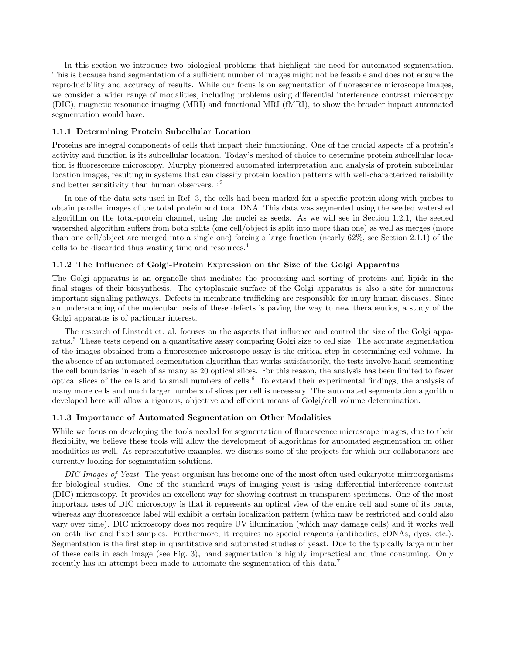In this section we introduce two biological problems that highlight the need for automated segmentation. This is because hand segmentation of a sufficient number of images might not be feasible and does not ensure the reproducibility and accuracy of results. While our focus is on segmentation of fluorescence microscope images, we consider a wider range of modalities, including problems using differential interference contrast microscopy (DIC), magnetic resonance imaging (MRI) and functional MRI (fMRI), to show the broader impact automated segmentation would have.

### 1.1.1 Determining Protein Subcellular Location

Proteins are integral components of cells that impact their functioning. One of the crucial aspects of a protein's activity and function is its subcellular location. Today's method of choice to determine protein subcellular location is fluorescence microscopy. Murphy pioneered automated interpretation and analysis of protein subcellular location images, resulting in systems that can classify protein location patterns with well-characterized reliability and better sensitivity than human observers.<sup>1, 2</sup>

In one of the data sets used in Ref. 3, the cells had been marked for a specific protein along with probes to obtain parallel images of the total protein and total DNA. This data was segmented using the seeded watershed algorithm on the total-protein channel, using the nuclei as seeds. As we will see in Section 1.2.1, the seeded watershed algorithm suffers from both splits (one cell/object is split into more than one) as well as merges (more than one cell/object are merged into a single one) forcing a large fraction (nearly 62%, see Section 2.1.1) of the cells to be discarded thus wasting time and resources.<sup>4</sup>

### 1.1.2 The Influence of Golgi-Protein Expression on the Size of the Golgi Apparatus

The Golgi apparatus is an organelle that mediates the processing and sorting of proteins and lipids in the final stages of their biosynthesis. The cytoplasmic surface of the Golgi apparatus is also a site for numerous important signaling pathways. Defects in membrane trafficking are responsible for many human diseases. Since an understanding of the molecular basis of these defects is paving the way to new therapeutics, a study of the Golgi apparatus is of particular interest.

The research of Linstedt et. al. focuses on the aspects that influence and control the size of the Golgi apparatus.<sup>5</sup> These tests depend on a quantitative assay comparing Golgi size to cell size. The accurate segmentation of the images obtained from a fluorescence microscope assay is the critical step in determining cell volume. In the absence of an automated segmentation algorithm that works satisfactorily, the tests involve hand segmenting the cell boundaries in each of as many as 20 optical slices. For this reason, the analysis has been limited to fewer optical slices of the cells and to small numbers of cells.<sup>6</sup> To extend their experimental findings, the analysis of many more cells and much larger numbers of slices per cell is necessary. The automated segmentation algorithm developed here will allow a rigorous, objective and efficient means of Golgi/cell volume determination.

#### 1.1.3 Importance of Automated Segmentation on Other Modalities

While we focus on developing the tools needed for segmentation of fluorescence microscope images, due to their flexibility, we believe these tools will allow the development of algorithms for automated segmentation on other modalities as well. As representative examples, we discuss some of the projects for which our collaborators are currently looking for segmentation solutions.

DIC Images of Yeast. The yeast organism has become one of the most often used eukaryotic microorganisms for biological studies. One of the standard ways of imaging yeast is using differential interference contrast (DIC) microscopy. It provides an excellent way for showing contrast in transparent specimens. One of the most important uses of DIC microscopy is that it represents an optical view of the entire cell and some of its parts, whereas any fluorescence label will exhibit a certain localization pattern (which may be restricted and could also vary over time). DIC microscopy does not require UV illumination (which may damage cells) and it works well on both live and fixed samples. Furthermore, it requires no special reagents (antibodies, cDNAs, dyes, etc.). Segmentation is the first step in quantitative and automated studies of yeast. Due to the typically large number of these cells in each image (see Fig. 3), hand segmentation is highly impractical and time consuming. Only recently has an attempt been made to automate the segmentation of this data.<sup>7</sup>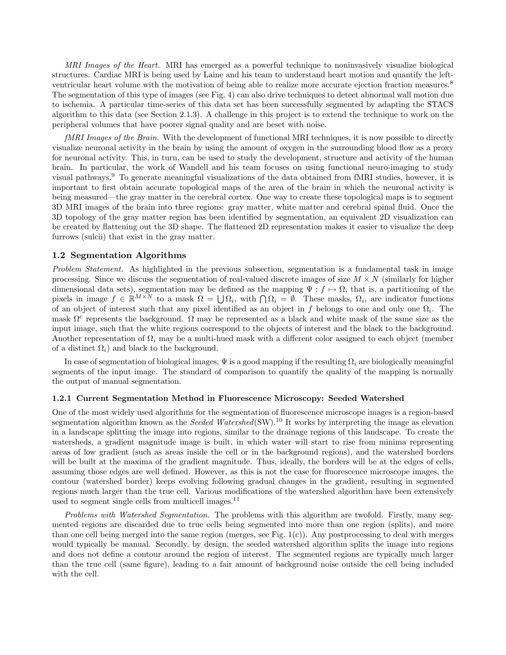MRI Images of the Heart. MRI has emerged as a powerful technique to noninvasively visualize biological structures. Cardiac MRI is being used by Laine and his team to understand heart motion and quantify the leftventricular heart volume with the motivation of being able to realize more accurate ejection fraction measures.<sup>8</sup> The segmentation of this type of images (see Fig. 4) can also drive techniques to detect abnormal wall motion due to ischemia. A particular time-series of this data set has been successfully segmented by adapting the STACS algorithm to this data (see Section 2.1.3). A challenge in this project is to extend the technique to work on the peripheral volumes that have poorer signal quality and are beset with noise.

fMRI Images of the Brain. With the development of functional MRI techniques, it is now possible to directly visualize neuronal activity in the brain by using the amount of oxygen in the surrounding blood flow as a proxy for neuronal activity. This, in turn, can be used to study the development, structure and activity of the human brain. In particular, the work of Wandell and his team focuses on using functional neuro-imaging to study visual pathways.<sup>9</sup> To generate meaningful visualizations of the data obtained from fMRI studies, however, it is important to first obtain accurate topological maps of the area of the brain in which the neuronal activity is being measured—the gray matter in the cerebral cortex. One way to create these topological maps is to segment 3D MRI images of the brain into three regions: gray matter, white matter and cerebral spinal fluid. Once the 3D topology of the gray matter region has been identified by segmentation, an equivalent 2D visualization can be created by flattening out the 3D shape. The flattened 2D representation makes it easier to visualize the deep furrows (sulcii) that exist in the gray matter.

## 1.2 Segmentation Algorithms

Problem Statement. As highlighted in the previous subsection, segmentation is a fundamental task in image processing. Since we discuss the segmentation of real-valued discrete images of size  $M \times N$  (similarly for higher dimensional data sets), segmentation may be defined as the mapping  $\Psi : f \mapsto \Omega$ , that is, a partitioning of the dimensional data sets), segmentation may be defined as the mapping  $\Psi : f \mapsto \Omega$ , that is, a partitioning of the pixels in image  $f \in \mathbb{R}^{M \times N}$  to a mask  $\Omega = \bigcup \Omega_i$ , with  $\bigcap \Omega_i = \emptyset$ . These masks,  $\Omega_i$ , are indicator of an object of interest such that any pixel identified as an object in f belongs to one and only one  $\Omega_i$ . The mask  $\Omega^c$  represents the background.  $\Omega$  may be represented as a black and white mask of the same size as the input image, such that the white regions correspond to the objects of interest and the black to the background. Another representation of  $\Omega_i$  may be a multi-hued mask with a different color assigned to each object (member of a distinct  $\Omega_i$ ) and black to the background.

In case of segmentation of biological images,  $\Psi$  is a good mapping if the resulting  $\Omega_i$  are biologically meaningful segments of the input image. The standard of comparison to quantify the quality of the mapping is normally the output of manual segmentation.

#### 1.2.1 Current Segmentation Method in Fluorescence Microscopy: Seeded Watershed

One of the most widely used algorithms for the segmentation of fluorescence microscope images is a region-based segmentation algorithm known as the Seeded Watershed(SW).<sup>10</sup> It works by interpreting the image as elevation in a landscape splitting the image into regions, similar to the drainage regions of this landscape. To create the watersheds, a gradient magnitude image is built, in which water will start to rise from minima representing areas of low gradient (such as areas inside the cell or in the background regions), and the watershed borders will be built at the maxima of the gradient magnitude. Thus, ideally, the borders will be at the edges of cells, assuming those edges are well defined. However, as this is not the case for fluorescence microscope images, the contour (watershed border) keeps evolving following gradual changes in the gradient, resulting in segmented regions much larger than the true cell. Various modifications of the watershed algorithm have been extensively used to segment single cells from multicell images.<sup>11</sup>

Problems with Watershed Segmentation. The problems with this algorithm are twofold. Firstly, many segmented regions are discarded due to true cells being segmented into more than one region (splits), and more than one cell being merged into the same region (merges, see Fig.  $1(c)$ ). Any postprocessing to deal with merges would typically be manual. Secondly, by design, the seeded watershed algorithm splits the image into regions and does not define a contour around the region of interest. The segmented regions are typically much larger than the true cell (same figure), leading to a fair amount of background noise outside the cell being included with the cell.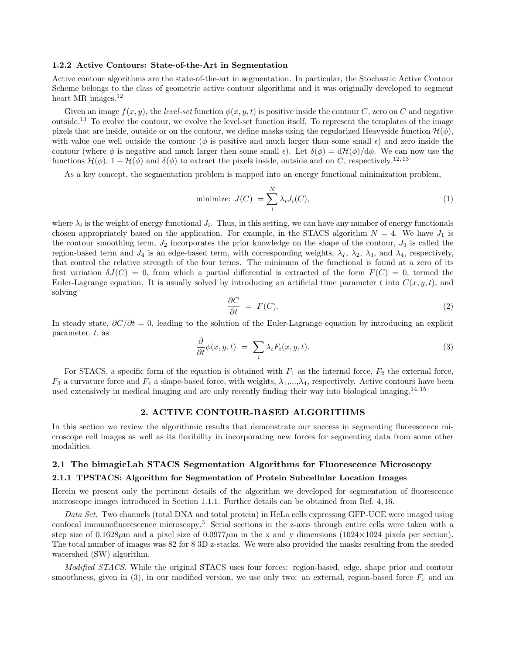#### 1.2.2 Active Contours: State-of-the-Art in Segmentation

Active contour algorithms are the state-of-the-art in segmentation. In particular, the Stochastic Active Contour Scheme belongs to the class of geometric active contour algorithms and it was originally developed to segment heart MR images.<sup>12</sup>

Given an image  $f(x, y)$ , the level-set function  $\phi(x, y, t)$  is positive inside the contour C, zero on C and negative outside.<sup>13</sup> To evolve the contour, we evolve the level-set function itself. To represent the templates of the image pixels that are inside, outside or on the contour, we define masks using the regularized Heavyside function  $\mathcal{H}(\phi)$ , with value one well outside the contour ( $\phi$  is positive and much larger than some small  $\epsilon$ ) and zero inside the contour (where  $\phi$  is negative and much larger then some small  $\epsilon$ ). Let  $\delta(\phi) = d\mathcal{H}(\phi)/d\phi$ . We can now use the functions  $\mathcal{H}(\phi)$ ,  $1 - \mathcal{H}(\phi)$  and  $\delta(\phi)$  to extract the pixels inside, outside and on C, respectively.<sup>12, 13</sup>

As a key concept, the segmentation problem is mapped into an energy functional minimization problem,

minimize: 
$$
J(C) = \sum_{i}^{N} \lambda_i J_i(C)
$$
, (1)

where  $\lambda_i$  is the weight of energy functional  $J_i$ . Thus, in this setting, we can have any number of energy functionals chosen appropriately based on the application. For example, in the STACS algorithm  $N = 4$ . We have  $J_1$  is the contour smoothing term,  $J_2$  incorporates the prior knowledge on the shape of the contour,  $J_3$  is called the region-based term and  $J_4$  is an edge-based term, with corresponding weights,  $\lambda_I$ ,  $\lambda_2$ ,  $\lambda_3$ , and  $\lambda_4$ , respectively, that control the relative strength of the four terms. The minimum of the functional is found at a zero of its first variation  $\delta J(C) = 0$ , from which a partial differential is extracted of the form  $F(C) = 0$ , termed the Euler-Lagrange equation. It is usually solved by introducing an artificial time parameter t into  $C(x, y, t)$ , and solving

$$
\frac{\partial C}{\partial t} = F(C). \tag{2}
$$

In steady state,  $\partial C/\partial t = 0$ , leading to the solution of the Euler-Lagrange equation by introducing an explicit parameter,  $t$ , as

$$
\frac{\partial}{\partial t}\phi(x,y,t) = \sum_{i} \lambda_i F_i(x,y,t). \tag{3}
$$

For STACS, a specific form of the equation is obtained with  $F_1$  as the internal force,  $F_2$  the external force,  $F_3$  a curvature force and  $F_4$  a shape-based force, with weights,  $\lambda_1,\dots,\lambda_4$ , respectively. Active contours have been used extensively in medical imaging and are only recently finding their way into biological imaging.<sup>14, 15</sup>

## 2. ACTIVE CONTOUR-BASED ALGORITHMS

In this section we review the algorithmic results that demonstrate our success in segmenting fluorescence microscope cell images as well as its flexibility in incorporating new forces for segmenting data from some other modalities.

### 2.1 The bimagicLab STACS Segmentation Algorithms for Fluorescence Microscopy

#### 2.1.1 TPSTACS: Algorithm for Segmentation of Protein Subcellular Location Images

Herein we present only the pertinent details of the algorithm we developed for segmentation of fluorescence microscope images introduced in Section 1.1.1. Further details can be obtained from Ref. 4, 16.

Data Set. Two channels (total DNA and total protein) in HeLa cells expressing GFP-UCE were imaged using confocal immunofluorescence microscopy.<sup>3</sup> Serial sections in the z-axis through entire cells were taken with a step size of  $0.1628\mu$ m and a pixel size of  $0.0977\mu$ m in the x and y dimensions (1024×1024 pixels per section). The total number of images was 82 for 8 3D z-stacks. We were also provided the masks resulting from the seeded watershed (SW) algorithm.

Modified STACS. While the original STACS uses four forces: region-based, edge, shape prior and contour smoothness, given in (3), in our modified version, we use only two: an external, region-based force  $F_r$  and an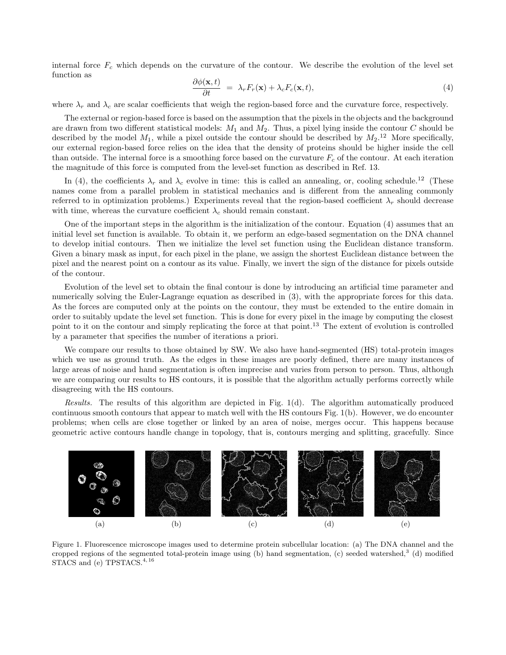internal force  $F_c$  which depends on the curvature of the contour. We describe the evolution of the level set function as

$$
\frac{\partial \phi(\mathbf{x},t)}{\partial t} = \lambda_r F_r(\mathbf{x}) + \lambda_c F_c(\mathbf{x},t), \qquad (4)
$$

where  $\lambda_r$  and  $\lambda_c$  are scalar coefficients that weigh the region-based force and the curvature force, respectively.

The external or region-based force is based on the assumption that the pixels in the objects and the background are drawn from two different statistical models:  $M_1$  and  $M_2$ . Thus, a pixel lying inside the contour C should be described by the model  $M_1$ , while a pixel outside the contour should be described by  $M_2$ .<sup>12</sup> More specifically, our external region-based force relies on the idea that the density of proteins should be higher inside the cell than outside. The internal force is a smoothing force based on the curvature  $F_c$  of the contour. At each iteration the magnitude of this force is computed from the level-set function as described in Ref. 13.

In (4), the coefficients  $\lambda_r$  and  $\lambda_c$  evolve in time: this is called an annealing, or, cooling schedule.<sup>12</sup> (These names come from a parallel problem in statistical mechanics and is different from the annealing commonly referred to in optimization problems.) Experiments reveal that the region-based coefficient  $\lambda_r$  should decrease with time, whereas the curvature coefficient  $\lambda_c$  should remain constant.

One of the important steps in the algorithm is the initialization of the contour. Equation (4) assumes that an initial level set function is available. To obtain it, we perform an edge-based segmentation on the DNA channel to develop initial contours. Then we initialize the level set function using the Euclidean distance transform. Given a binary mask as input, for each pixel in the plane, we assign the shortest Euclidean distance between the pixel and the nearest point on a contour as its value. Finally, we invert the sign of the distance for pixels outside of the contour.

Evolution of the level set to obtain the final contour is done by introducing an artificial time parameter and numerically solving the Euler-Lagrange equation as described in (3), with the appropriate forces for this data. As the forces are computed only at the points on the contour, they must be extended to the entire domain in order to suitably update the level set function. This is done for every pixel in the image by computing the closest point to it on the contour and simply replicating the force at that point.<sup>13</sup> The extent of evolution is controlled by a parameter that specifies the number of iterations a priori.

We compare our results to those obtained by SW. We also have hand-segmented (HS) total-protein images which we use as ground truth. As the edges in these images are poorly defined, there are many instances of large areas of noise and hand segmentation is often imprecise and varies from person to person. Thus, although we are comparing our results to HS contours, it is possible that the algorithm actually performs correctly while disagreeing with the HS contours.

Results. The results of this algorithm are depicted in Fig. 1(d). The algorithm automatically produced continuous smooth contours that appear to match well with the HS contours Fig. 1(b). However, we do encounter problems; when cells are close together or linked by an area of noise, merges occur. This happens because geometric active contours handle change in topology, that is, contours merging and splitting, gracefully. Since



Figure 1. Fluorescence microscope images used to determine protein subcellular location: (a) The DNA channel and the cropped regions of the segmented total-protein image using (b) hand segmentation, (c) seeded watershed,<sup>3</sup> (d) modified STACS and (e) TPSTACS.<sup>4, 16</sup>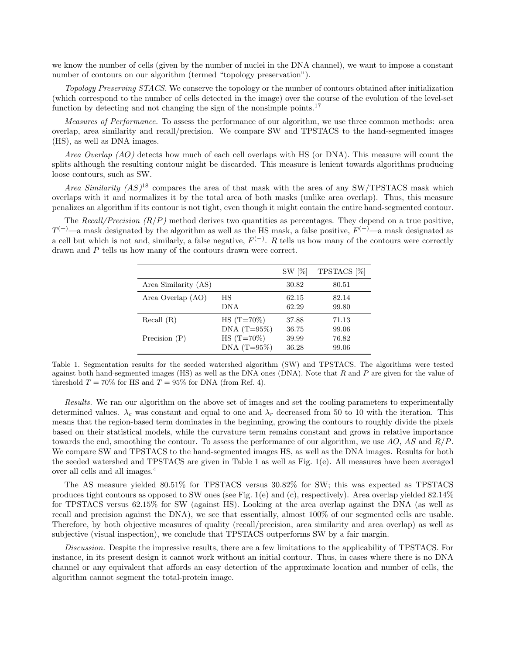we know the number of cells (given by the number of nuclei in the DNA channel), we want to impose a constant number of contours on our algorithm (termed "topology preservation").

Topology Preserving STACS. We conserve the topology or the number of contours obtained after initialization (which correspond to the number of cells detected in the image) over the course of the evolution of the level-set function by detecting and not changing the sign of the nonsimple points.<sup>17</sup>

Measures of Performance. To assess the performance of our algorithm, we use three common methods: area overlap, area similarity and recall/precision. We compare SW and TPSTACS to the hand-segmented images (HS), as well as DNA images.

Area Overlap (AO) detects how much of each cell overlaps with HS (or DNA). This measure will count the splits although the resulting contour might be discarded. This measure is lenient towards algorithms producing loose contours, such as SW.

Area Similarity  $(AS)^{18}$  compares the area of that mask with the area of any SW/TPSTACS mask which overlaps with it and normalizes it by the total area of both masks (unlike area overlap). Thus, this measure penalizes an algorithm if its contour is not tight, even though it might contain the entire hand-segmented contour.

The Recall/Precision  $(R/P)$  method derives two quantities as percentages. They depend on a true positive,  $T^{(+)}$ —a mask designated by the algorithm as well as the HS mask, a false positive,  $F^{(+)}$ —a mask designated as a cell but which is not and, similarly, a false negative,  $F^{(-)}$ . R tells us how many of the contours were correctly drawn and P tells us how many of the contours drawn were correct.

|                      |                | $SW$ $\lbrack\% \rbrack$ | TPSTACS <sup>[%]</sup> |
|----------------------|----------------|--------------------------|------------------------|
| Area Similarity (AS) |                | 30.82                    | 80.51                  |
| Area Overlap $(AO)$  | НS             | 62.15                    | 82.14                  |
|                      | DNA            | 62.29                    | 99.80                  |
| Recall $(R)$         | $HS (T=70\%)$  | 37.88                    | 71.13                  |
|                      | DNA $(T=95\%)$ | 36.75                    | 99.06                  |
| Precision $(P)$      | $HS (T=70\%)$  | 39.99                    | 76.82                  |
|                      | DNA $(T=95\%)$ | 36.28                    | 99.06                  |

Table 1. Segmentation results for the seeded watershed algorithm (SW) and TPSTACS. The algorithms were tested against both hand-segmented images (HS) as well as the DNA ones (DNA). Note that  $R$  and  $P$  are given for the value of threshold  $T = 70\%$  for HS and  $T = 95\%$  for DNA (from Ref. 4).

Results. We ran our algorithm on the above set of images and set the cooling parameters to experimentally determined values.  $\lambda_c$  was constant and equal to one and  $\lambda_r$  decreased from 50 to 10 with the iteration. This means that the region-based term dominates in the beginning, growing the contours to roughly divide the pixels based on their statistical models, while the curvature term remains constant and grows in relative importance towards the end, smoothing the contour. To assess the performance of our algorithm, we use  $AO, AS$  and  $R/P$ . We compare SW and TPSTACS to the hand-segmented images HS, as well as the DNA images. Results for both the seeded watershed and TPSTACS are given in Table 1 as well as Fig. 1(e). All measures have been averaged over all cells and all images.<sup>4</sup>

The AS measure yielded 80.51% for TPSTACS versus 30.82% for SW; this was expected as TPSTACS produces tight contours as opposed to SW ones (see Fig. 1(e) and (c), respectively). Area overlap yielded 82.14% for TPSTACS versus 62.15% for SW (against HS). Looking at the area overlap against the DNA (as well as recall and precision against the DNA), we see that essentially, almost 100% of our segmented cells are usable. Therefore, by both objective measures of quality (recall/precision, area similarity and area overlap) as well as subjective (visual inspection), we conclude that TPSTACS outperforms SW by a fair margin.

Discussion. Despite the impressive results, there are a few limitations to the applicability of TPSTACS. For instance, in its present design it cannot work without an initial contour. Thus, in cases where there is no DNA channel or any equivalent that affords an easy detection of the approximate location and number of cells, the algorithm cannot segment the total-protein image.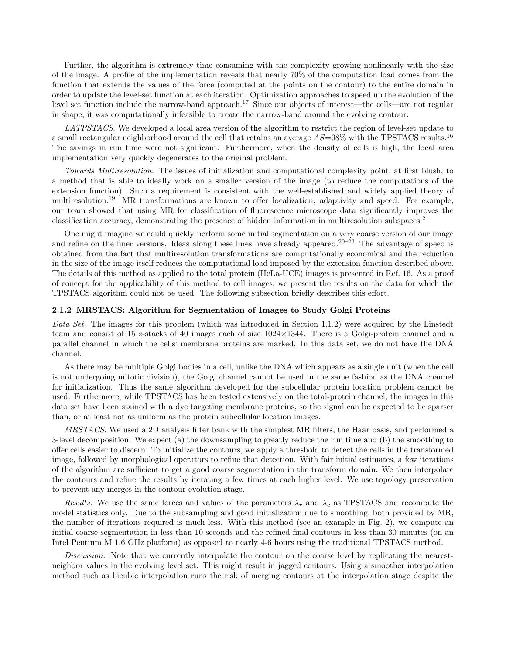Further, the algorithm is extremely time consuming with the complexity growing nonlinearly with the size of the image. A profile of the implementation reveals that nearly 70% of the computation load comes from the function that extends the values of the force (computed at the points on the contour) to the entire domain in order to update the level-set function at each iteration. Optimization approaches to speed up the evolution of the level set function include the narrow-band approach.<sup>17</sup> Since our objects of interest—the cells—are not regular in shape, it was computationally infeasible to create the narrow-band around the evolving contour.

LATPSTACS. We developed a local area version of the algorithm to restrict the region of level-set update to a small rectangular neighborhood around the cell that retains an average  $AS=98\%$  with the TPSTACS results.<sup>16</sup> The savings in run time were not significant. Furthermore, when the density of cells is high, the local area implementation very quickly degenerates to the original problem.

Towards Multiresolution. The issues of initialization and computational complexity point, at first blush, to a method that is able to ideally work on a smaller version of the image (to reduce the computations of the extension function). Such a requirement is consistent with the well-established and widely applied theory of multiresolution.<sup>19</sup> MR transformations are known to offer localization, adaptivity and speed. For example, our team showed that using MR for classification of fluorescence microscope data significantly improves the classification accuracy, demonstrating the presence of hidden information in multiresolution subspaces.<sup>2</sup>

One might imagine we could quickly perform some initial segmentation on a very coarse version of our image and refine on the finer versions. Ideas along these lines have already appeared.<sup>20–23</sup> The advantage of speed is obtained from the fact that multiresolution transformations are computationally economical and the reduction in the size of the image itself reduces the computational load imposed by the extension function described above. The details of this method as applied to the total protein (HeLa-UCE) images is presented in Ref. 16. As a proof of concept for the applicability of this method to cell images, we present the results on the data for which the TPSTACS algorithm could not be used. The following subsection briefly describes this effort.

#### 2.1.2 MRSTACS: Algorithm for Segmentation of Images to Study Golgi Proteins

Data Set. The images for this problem (which was introduced in Section 1.1.2) were acquired by the Linstedt team and consist of 15 z-stacks of 40 images each of size 1024×1344. There is a Golgi-protein channel and a parallel channel in which the cells' membrane proteins are marked. In this data set, we do not have the DNA channel.

As there may be multiple Golgi bodies in a cell, unlike the DNA which appears as a single unit (when the cell is not undergoing mitotic division), the Golgi channel cannot be used in the same fashion as the DNA channel for initialization. Thus the same algorithm developed for the subcellular protein location problem cannot be used. Furthermore, while TPSTACS has been tested extensively on the total-protein channel, the images in this data set have been stained with a dye targeting membrane proteins, so the signal can be expected to be sparser than, or at least not as uniform as the protein subcellular location images.

MRSTACS. We used a 2D analysis filter bank with the simplest MR filters, the Haar basis, and performed a 3-level decomposition. We expect (a) the downsampling to greatly reduce the run time and (b) the smoothing to offer cells easier to discern. To initialize the contours, we apply a threshold to detect the cells in the transformed image, followed by morphological operators to refine that detection. With fair initial estimates, a few iterations of the algorithm are sufficient to get a good coarse segmentation in the transform domain. We then interpolate the contours and refine the results by iterating a few times at each higher level. We use topology preservation to prevent any merges in the contour evolution stage.

Results. We use the same forces and values of the parameters  $\lambda_r$  and  $\lambda_c$  as TPSTACS and recompute the model statistics only. Due to the subsampling and good initialization due to smoothing, both provided by MR, the number of iterations required is much less. With this method (see an example in Fig. 2), we compute an initial coarse segmentation in less than 10 seconds and the refined final contours in less than 30 minutes (on an Intel Pentium M 1.6 GHz platform) as opposed to nearly 4-6 hours using the traditional TPSTACS method.

Discussion. Note that we currently interpolate the contour on the coarse level by replicating the nearestneighbor values in the evolving level set. This might result in jagged contours. Using a smoother interpolation method such as bicubic interpolation runs the risk of merging contours at the interpolation stage despite the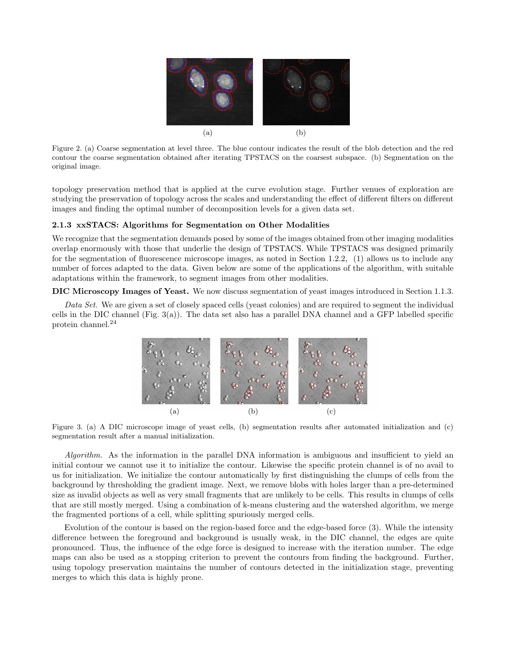

Figure 2. (a) Coarse segmentation at level three. The blue contour indicates the result of the blob detection and the red contour the coarse segmentation obtained after iterating TPSTACS on the coarsest subspace. (b) Segmentation on the original image.

topology preservation method that is applied at the curve evolution stage. Further venues of exploration are studying the preservation of topology across the scales and understanding the effect of different filters on different images and finding the optimal number of decomposition levels for a given data set.

### 2.1.3 xxSTACS: Algorithms for Segmentation on Other Modalities

We recognize that the segmentation demands posed by some of the images obtained from other imaging modalities overlap enormously with those that underlie the design of TPSTACS. While TPSTACS was designed primarily for the segmentation of fluorescence microscope images, as noted in Section 1.2.2, (1) allows us to include any number of forces adapted to the data. Given below are some of the applications of the algorithm, with suitable adaptations within the framework, to segment images from other modalities.

DIC Microscopy Images of Yeast. We now discuss segmentation of yeast images introduced in Section 1.1.3.

Data Set. We are given a set of closely spaced cells (yeast colonies) and are required to segment the individual cells in the DIC channel (Fig. 3(a)). The data set also has a parallel DNA channel and a GFP labelled specific protein channel.<sup>24</sup>



Figure 3. (a) A DIC microscope image of yeast cells, (b) segmentation results after automated initialization and (c) segmentation result after a manual initialization.

Algorithm. As the information in the parallel DNA information is ambiguous and insufficient to yield an initial contour we cannot use it to initialize the contour. Likewise the specific protein channel is of no avail to us for initialization. We initialize the contour automatically by first distinguishing the clumps of cells from the background by thresholding the gradient image. Next, we remove blobs with holes larger than a pre-determined size as invalid objects as well as very small fragments that are unlikely to be cells. This results in clumps of cells that are still mostly merged. Using a combination of k-means clustering and the watershed algorithm, we merge the fragmented portions of a cell, while splitting spuriously merged cells.

Evolution of the contour is based on the region-based force and the edge-based force (3). While the intensity difference between the foreground and background is usually weak, in the DIC channel, the edges are quite pronounced. Thus, the influence of the edge force is designed to increase with the iteration number. The edge maps can also be used as a stopping criterion to prevent the contours from finding the background. Further, using topology preservation maintains the number of contours detected in the initialization stage, preventing merges to which this data is highly prone.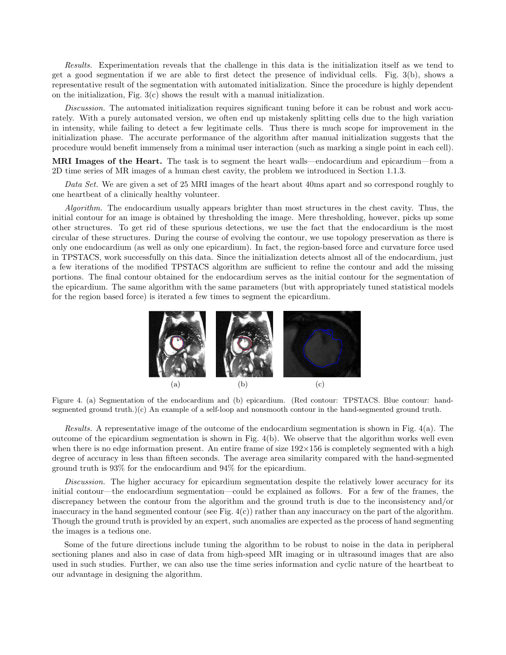Results. Experimentation reveals that the challenge in this data is the initialization itself as we tend to get a good segmentation if we are able to first detect the presence of individual cells. Fig. 3(b), shows a representative result of the segmentation with automated initialization. Since the procedure is highly dependent on the initialization, Fig.  $3(c)$  shows the result with a manual initialization.

Discussion. The automated initialization requires significant tuning before it can be robust and work accurately. With a purely automated version, we often end up mistakenly splitting cells due to the high variation in intensity, while failing to detect a few legitimate cells. Thus there is much scope for improvement in the initialization phase. The accurate performance of the algorithm after manual initialization suggests that the procedure would benefit immensely from a minimal user interaction (such as marking a single point in each cell).

MRI Images of the Heart. The task is to segment the heart walls—endocardium and epicardium—from a 2D time series of MR images of a human chest cavity, the problem we introduced in Section 1.1.3.

Data Set. We are given a set of 25 MRI images of the heart about 40ms apart and so correspond roughly to one heartbeat of a clinically healthy volunteer.

Algorithm. The endocardium usually appears brighter than most structures in the chest cavity. Thus, the initial contour for an image is obtained by thresholding the image. Mere thresholding, however, picks up some other structures. To get rid of these spurious detections, we use the fact that the endocardium is the most circular of these structures. During the course of evolving the contour, we use topology preservation as there is only one endocardium (as well as only one epicardium). In fact, the region-based force and curvature force used in TPSTACS, work successfully on this data. Since the initialization detects almost all of the endocardium, just a few iterations of the modified TPSTACS algorithm are sufficient to refine the contour and add the missing portions. The final contour obtained for the endocardium serves as the initial contour for the segmentation of the epicardium. The same algorithm with the same parameters (but with appropriately tuned statistical models for the region based force) is iterated a few times to segment the epicardium.



Figure 4. (a) Segmentation of the endocardium and (b) epicardium. (Red contour: TPSTACS. Blue contour: handsegmented ground truth.)(c) An example of a self-loop and nonsmooth contour in the hand-segmented ground truth.

Results. A representative image of the outcome of the endocardium segmentation is shown in Fig. 4(a). The outcome of the epicardium segmentation is shown in Fig. 4(b). We observe that the algorithm works well even when there is no edge information present. An entire frame of size  $192\times156$  is completely segmented with a high degree of accuracy in less than fifteen seconds. The average area similarity compared with the hand-segmented ground truth is 93% for the endocardium and 94% for the epicardium.

Discussion. The higher accuracy for epicardium segmentation despite the relatively lower accuracy for its initial contour—the endocardium segmentation—could be explained as follows. For a few of the frames, the discrepancy between the contour from the algorithm and the ground truth is due to the inconsistency and/or inaccuracy in the hand segmented contour (see Fig.  $4(c)$ ) rather than any inaccuracy on the part of the algorithm. Though the ground truth is provided by an expert, such anomalies are expected as the process of hand segmenting the images is a tedious one.

Some of the future directions include tuning the algorithm to be robust to noise in the data in peripheral sectioning planes and also in case of data from high-speed MR imaging or in ultrasound images that are also used in such studies. Further, we can also use the time series information and cyclic nature of the heartbeat to our advantage in designing the algorithm.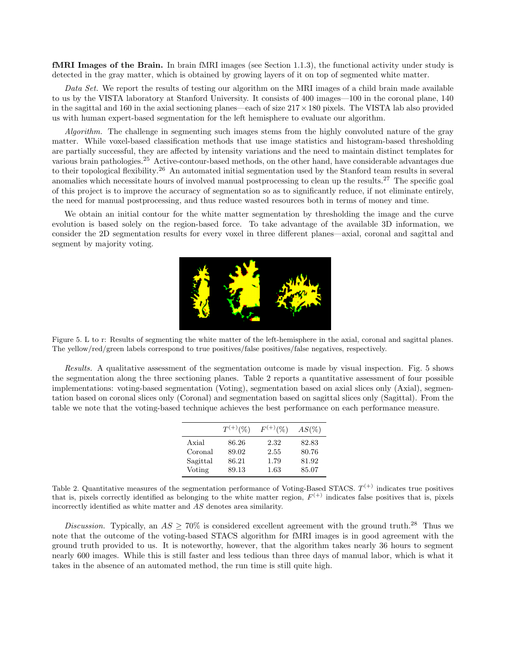fMRI Images of the Brain. In brain fMRI images (see Section 1.1.3), the functional activity under study is detected in the gray matter, which is obtained by growing layers of it on top of segmented white matter.

Data Set. We report the results of testing our algorithm on the MRI images of a child brain made available to us by the VISTA laboratory at Stanford University. It consists of 400 images—100 in the coronal plane, 140 in the sagittal and 160 in the axial sectioning planes—each of size  $217 \times 180$  pixels. The VISTA lab also provided us with human expert-based segmentation for the left hemisphere to evaluate our algorithm.

Algorithm. The challenge in segmenting such images stems from the highly convoluted nature of the gray matter. While voxel-based classification methods that use image statistics and histogram-based thresholding are partially successful, they are affected by intensity variations and the need to maintain distinct templates for various brain pathologies.<sup>25</sup> Active-contour-based methods, on the other hand, have considerable advantages due to their topological flexibility.<sup>26</sup> An automated initial segmentation used by the Stanford team results in several anomalies which necessitate hours of involved manual postprocessing to clean up the results.<sup>27</sup> The specific goal of this project is to improve the accuracy of segmentation so as to significantly reduce, if not eliminate entirely, the need for manual postprocessing, and thus reduce wasted resources both in terms of money and time.

We obtain an initial contour for the white matter segmentation by thresholding the image and the curve evolution is based solely on the region-based force. To take advantage of the available 3D information, we consider the 2D segmentation results for every voxel in three different planes—axial, coronal and sagittal and segment by majority voting.



Figure 5. L to r: Results of segmenting the white matter of the left-hemisphere in the axial, coronal and sagittal planes. The yellow/red/green labels correspond to true positives/false positives/false negatives, respectively.

Results. A qualitative assessment of the segmentation outcome is made by visual inspection. Fig. 5 shows the segmentation along the three sectioning planes. Table 2 reports a quantitative assessment of four possible implementations: voting-based segmentation (Voting), segmentation based on axial slices only (Axial), segmentation based on coronal slices only (Coronal) and segmentation based on sagittal slices only (Sagittal). From the table we note that the voting-based technique achieves the best performance on each performance measure.

|          | $T^{(+)}(\%)$ | $F^{(+)}(\%)$ | $AS(\%)$ |
|----------|---------------|---------------|----------|
| Axial    | 86.26         | 2.32          | 82.83    |
| Coronal  | 89.02         | 2.55          | 80.76    |
| Sagittal | 86.21         | 1.79          | 81.92    |
| Voting   | 89.13         | 1.63          | 85.07    |

Table 2. Quantitative measures of the segmentation performance of Voting-Based STACS.  $T^{(+)}$  indicates true positives that is, pixels correctly identified as belonging to the white matter region,  $F^{(+)}$  indicates false positives that is, pixels incorrectly identified as white matter and AS denotes area similarity.

Discussion. Typically, an  $AS \geq 70\%$  is considered excellent agreement with the ground truth.<sup>28</sup> Thus we note that the outcome of the voting-based STACS algorithm for fMRI images is in good agreement with the ground truth provided to us. It is noteworthy, however, that the algorithm takes nearly 36 hours to segment nearly 600 images. While this is still faster and less tedious than three days of manual labor, which is what it takes in the absence of an automated method, the run time is still quite high.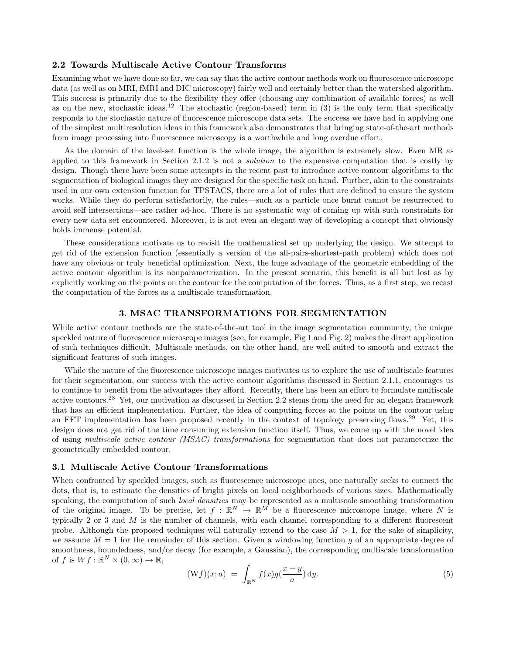## 2.2 Towards Multiscale Active Contour Transforms

Examining what we have done so far, we can say that the active contour methods work on fluorescence microscope data (as well as on MRI, fMRI and DIC microscopy) fairly well and certainly better than the watershed algorithm. This success is primarily due to the flexibility they offer (choosing any combination of available forces) as well as on the new, stochastic ideas.<sup>12</sup> The stochastic (region-based) term in  $(3)$  is the only term that specifically responds to the stochastic nature of fluorescence microscope data sets. The success we have had in applying one of the simplest multiresolution ideas in this framework also demonstrates that bringing state-of-the-art methods from image processing into fluorescence microscopy is a worthwhile and long overdue effort.

As the domain of the level-set function is the whole image, the algorithm is extremely slow. Even MR as applied to this framework in Section 2.1.2 is not a *solution* to the expensive computation that is costly by design. Though there have been some attempts in the recent past to introduce active contour algorithms to the segmentation of biological images they are designed for the specific task on hand. Further, akin to the constraints used in our own extension function for TPSTACS, there are a lot of rules that are defined to ensure the system works. While they do perform satisfactorily, the rules—such as a particle once burnt cannot be resurrected to avoid self intersections—are rather ad-hoc. There is no systematic way of coming up with such constraints for every new data set encountered. Moreover, it is not even an elegant way of developing a concept that obviously holds immense potential.

These considerations motivate us to revisit the mathematical set up underlying the design. We attempt to get rid of the extension function (essentially a version of the all-pairs-shortest-path problem) which does not have any obvious or truly beneficial optimization. Next, the huge advantage of the geometric embedding of the active contour algorithm is its nonparametrization. In the present scenario, this benefit is all but lost as by explicitly working on the points on the contour for the computation of the forces. Thus, as a first step, we recast the computation of the forces as a multiscale transformation.

## 3. MSAC TRANSFORMATIONS FOR SEGMENTATION

While active contour methods are the state-of-the-art tool in the image segmentation community, the unique speckled nature of fluorescence microscope images (see, for example, Fig 1 and Fig. 2) makes the direct application of such techniques difficult. Multiscale methods, on the other hand, are well suited to smooth and extract the significant features of such images.

While the nature of the fluorescence microscope images motivates us to explore the use of multiscale features for their segmentation, our success with the active contour algorithms discussed in Section 2.1.1, encourages us to continue to benefit from the advantages they afford. Recently, there has been an effort to formulate multiscale active contours.<sup>23</sup> Yet, our motivation as discussed in Section 2.2 stems from the need for an elegant framework that has an efficient implementation. Further, the idea of computing forces at the points on the contour using an FFT implementation has been proposed recently in the context of topology preserving flows.<sup>29</sup> Yet, this design does not get rid of the time consuming extension function itself. Thus, we come up with the novel idea of using multiscale active contour (MSAC) transformations for segmentation that does not parameterize the geometrically embedded contour.

## 3.1 Multiscale Active Contour Transformations

When confronted by speckled images, such as fluorescence microscope ones, one naturally seeks to connect the dots, that is, to estimate the densities of bright pixels on local neighborhoods of various sizes. Mathematically speaking, the computation of such local densities may be represented as a multiscale smoothing transformation of the original image. To be precise, let  $f : \mathbb{R}^N \to \mathbb{R}^M$  be a fluorescence microscope image, where N is typically 2 or 3 and  $M$  is the number of channels, with each channel corresponding to a different fluorescent probe. Although the proposed techniques will naturally extend to the case  $M > 1$ , for the sake of simplicity, we assume  $M = 1$  for the remainder of this section. Given a windowing function g of an appropriate degree of smoothness, boundedness, and/or decay (for example, a Gaussian), the corresponding multiscale transformation of f is  $Wf : \mathbb{R}^N \times (0, \infty) \to \mathbb{R}$ ,

$$
(\mathbf{W}f)(x;a) = \int_{\mathbb{R}^N} f(x)g(\frac{x-y}{a}) \, dy.
$$
 (5)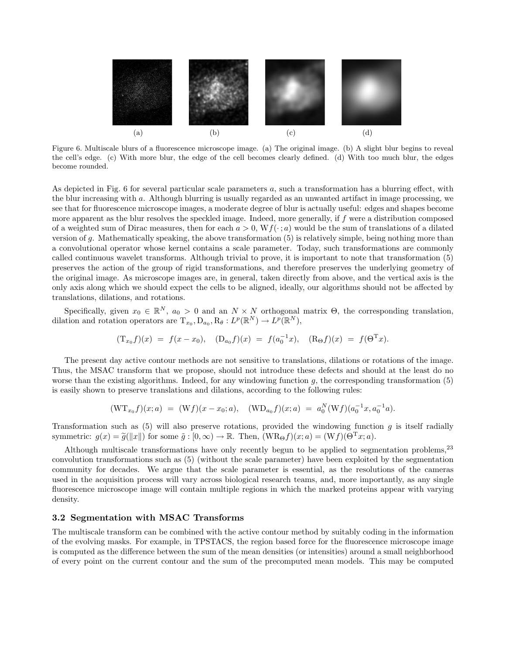

Figure 6. Multiscale blurs of a fluorescence microscope image. (a) The original image. (b) A slight blur begins to reveal the cell's edge. (c) With more blur, the edge of the cell becomes clearly defined. (d) With too much blur, the edges become rounded.

As depicted in Fig. 6 for several particular scale parameters a, such a transformation has a blurring effect, with the blur increasing with a. Although blurring is usually regarded as an unwanted artifact in image processing, we see that for fluorescence microscope images, a moderate degree of blur is actually useful: edges and shapes become more apparent as the blur resolves the speckled image. Indeed, more generally, if  $f$  were a distribution composed of a weighted sum of Dirac measures, then for each  $a > 0$ ,  $Wf(\cdot; a)$  would be the sum of translations of a dilated version of q. Mathematically speaking, the above transformation  $(5)$  is relatively simple, being nothing more than a convolutional operator whose kernel contains a scale parameter. Today, such transformations are commonly called continuous wavelet transforms. Although trivial to prove, it is important to note that transformation (5) preserves the action of the group of rigid transformations, and therefore preserves the underlying geometry of the original image. As microscope images are, in general, taken directly from above, and the vertical axis is the only axis along which we should expect the cells to be aligned, ideally, our algorithms should not be affected by translations, dilations, and rotations.

Specifically, given  $x_0 \in \mathbb{R}^N$ ,  $a_0 > 0$  and an  $N \times N$  orthogonal matrix  $\Theta$ , the corresponding translation, dilation and rotation operators are  $T_{x_0}, D_{a_0}, R_\theta : L^p(\mathbb{R}^N) \to L^p(\mathbb{R}^N)$ ,

$$
(\mathbf{T}_{x_0}f)(x) = f(x - x_0), \quad (\mathbf{D}_{a_0}f)(x) = f(a_0^{-1}x), \quad (\mathbf{R}_{\Theta}f)(x) = f(\Theta^{\mathrm{T}}x).
$$

The present day active contour methods are not sensitive to translations, dilations or rotations of the image. Thus, the MSAC transform that we propose, should not introduce these defects and should at the least do no worse than the existing algorithms. Indeed, for any windowing function  $g$ , the corresponding transformation  $(5)$ is easily shown to preserve translations and dilations, according to the following rules:

$$
(\mathrm{WT}_{x_0} f)(x; a) = (\mathrm{W} f)(x - x_0; a), \quad (\mathrm{WD}_{a_0} f)(x; a) = a_0^N (\mathrm{W} f)(a_0^{-1} x, a_0^{-1} a).
$$

Transformation such as  $(5)$  will also preserve rotations, provided the windowing function g is itself radially symmetric:  $g(x) = \tilde{g}(\Vert x \Vert)$  for some  $\tilde{g} : [0, \infty) \to \mathbb{R}$ . Then,  $(WR_{\Theta}f)(x; a) = (Wf)(\Theta^{T}x; a)$ .

Although multiscale transformations have only recently begun to be applied to segmentation problems,<sup>23</sup> convolution transformations such as (5) (without the scale parameter) have been exploited by the segmentation community for decades. We argue that the scale parameter is essential, as the resolutions of the cameras used in the acquisition process will vary across biological research teams, and, more importantly, as any single fluorescence microscope image will contain multiple regions in which the marked proteins appear with varying density.

## 3.2 Segmentation with MSAC Transforms

The multiscale transform can be combined with the active contour method by suitably coding in the information of the evolving masks. For example, in TPSTACS, the region based force for the fluorescence microscope image is computed as the difference between the sum of the mean densities (or intensities) around a small neighborhood of every point on the current contour and the sum of the precomputed mean models. This may be computed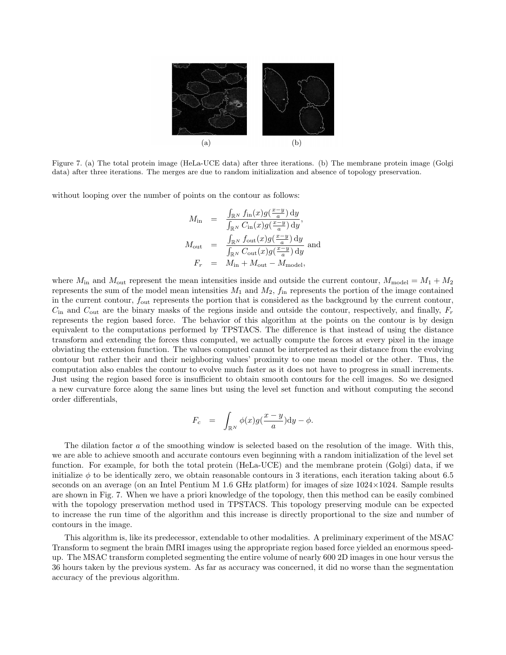

Figure 7. (a) The total protein image (HeLa-UCE data) after three iterations. (b) The membrane protein image (Golgi data) after three iterations. The merges are due to random initialization and absence of topology preservation.

without looping over the number of points on the contour as follows:

$$
M_{\rm in} = \frac{\int_{\mathbb{R}^N} f_{\rm in}(x) g(\frac{x-y}{a}) dy}{\int_{\mathbb{R}^N} C_{\rm in}(x) g(\frac{x-y}{a}) dy},
$$
  
\n
$$
M_{\rm out} = \frac{\int_{\mathbb{R}^N} f_{\rm out}(x) g(\frac{x-y}{a}) dy}{\int_{\mathbb{R}^N} C_{\rm out}(x) g(\frac{x-y}{a}) dy} \text{ and}
$$
  
\n
$$
F_r = M_{\rm in} + M_{\rm out} - M_{\rm model},
$$

where  $M_{\rm in}$  and  $M_{\rm out}$  represent the mean intensities inside and outside the current contour,  $M_{\rm model} = M_1 + M_2$ represents the sum of the model mean intensities  $M_1$  and  $M_2$ ,  $f_{\text{in}}$  represents the portion of the image contained in the current contour,  $f_{\text{out}}$  represents the portion that is considered as the background by the current contour,  $C_{\text{in}}$  and  $C_{\text{out}}$  are the binary masks of the regions inside and outside the contour, respectively, and finally,  $F_r$ represents the region based force. The behavior of this algorithm at the points on the contour is by design equivalent to the computations performed by TPSTACS. The difference is that instead of using the distance transform and extending the forces thus computed, we actually compute the forces at every pixel in the image obviating the extension function. The values computed cannot be interpreted as their distance from the evolving contour but rather their and their neighboring values' proximity to one mean model or the other. Thus, the computation also enables the contour to evolve much faster as it does not have to progress in small increments. Just using the region based force is insufficient to obtain smooth contours for the cell images. So we designed a new curvature force along the same lines but using the level set function and without computing the second order differentials,

$$
F_c = \int_{\mathbb{R}^N} \phi(x) g(\frac{x-y}{a}) dy - \phi.
$$

The dilation factor a of the smoothing window is selected based on the resolution of the image. With this, we are able to achieve smooth and accurate contours even beginning with a random initialization of the level set function. For example, for both the total protein (HeLa-UCE) and the membrane protein (Golgi) data, if we initialize  $\phi$  to be identically zero, we obtain reasonable contours in 3 iterations, each iteration taking about 6.5 seconds on an average (on an Intel Pentium M 1.6 GHz platform) for images of size  $1024\times1024$ . Sample results are shown in Fig. 7. When we have a priori knowledge of the topology, then this method can be easily combined with the topology preservation method used in TPSTACS. This topology preserving module can be expected to increase the run time of the algorithm and this increase is directly proportional to the size and number of contours in the image.

This algorithm is, like its predecessor, extendable to other modalities. A preliminary experiment of the MSAC Transform to segment the brain fMRI images using the appropriate region based force yielded an enormous speedup. The MSAC transform completed segmenting the entire volume of nearly 600 2D images in one hour versus the 36 hours taken by the previous system. As far as accuracy was concerned, it did no worse than the segmentation accuracy of the previous algorithm.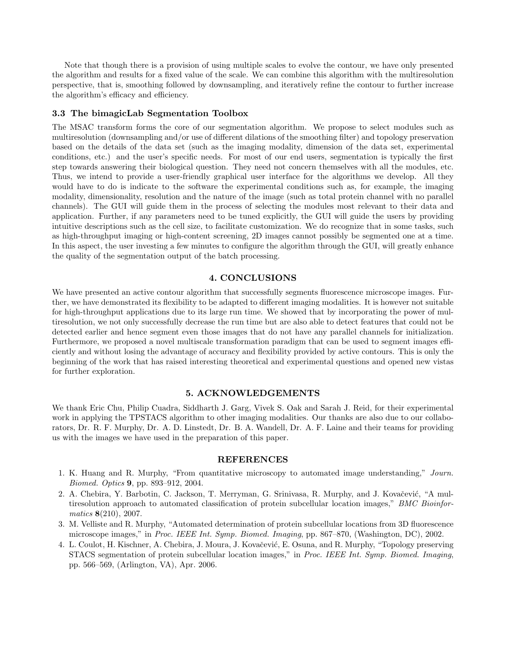Note that though there is a provision of using multiple scales to evolve the contour, we have only presented the algorithm and results for a fixed value of the scale. We can combine this algorithm with the multiresolution perspective, that is, smoothing followed by downsampling, and iteratively refine the contour to further increase the algorithm's efficacy and efficiency.

#### 3.3 The bimagicLab Segmentation Toolbox

The MSAC transform forms the core of our segmentation algorithm. We propose to select modules such as multiresolution (downsampling and/or use of different dilations of the smoothing filter) and topology preservation based on the details of the data set (such as the imaging modality, dimension of the data set, experimental conditions, etc.) and the user's specific needs. For most of our end users, segmentation is typically the first step towards answering their biological question. They need not concern themselves with all the modules, etc. Thus, we intend to provide a user-friendly graphical user interface for the algorithms we develop. All they would have to do is indicate to the software the experimental conditions such as, for example, the imaging modality, dimensionality, resolution and the nature of the image (such as total protein channel with no parallel channels). The GUI will guide them in the process of selecting the modules most relevant to their data and application. Further, if any parameters need to be tuned explicitly, the GUI will guide the users by providing intuitive descriptions such as the cell size, to facilitate customization. We do recognize that in some tasks, such as high-throughput imaging or high-content screening, 2D images cannot possibly be segmented one at a time. In this aspect, the user investing a few minutes to configure the algorithm through the GUI, will greatly enhance the quality of the segmentation output of the batch processing.

## 4. CONCLUSIONS

We have presented an active contour algorithm that successfully segments fluorescence microscope images. Further, we have demonstrated its flexibility to be adapted to different imaging modalities. It is however not suitable for high-throughput applications due to its large run time. We showed that by incorporating the power of multiresolution, we not only successfully decrease the run time but are also able to detect features that could not be detected earlier and hence segment even those images that do not have any parallel channels for initialization. Furthermore, we proposed a novel multiscale transformation paradigm that can be used to segment images efficiently and without losing the advantage of accuracy and flexibility provided by active contours. This is only the beginning of the work that has raised interesting theoretical and experimental questions and opened new vistas for further exploration.

## 5. ACKNOWLEDGEMENTS

We thank Eric Chu, Philip Cuadra, Siddharth J. Garg, Vivek S. Oak and Sarah J. Reid, for their experimental work in applying the TPSTACS algorithm to other imaging modalities. Our thanks are also due to our collaborators, Dr. R. F. Murphy, Dr. A. D. Linstedt, Dr. B. A. Wandell, Dr. A. F. Laine and their teams for providing us with the images we have used in the preparation of this paper.

## REFERENCES

- 1. K. Huang and R. Murphy, "From quantitative microscopy to automated image understanding," Journ. Biomed. Optics 9, pp. 893–912, 2004.
- 2. A. Chebira, Y. Barbotin, C. Jackson, T. Merryman, G. Srinivasa, R. Murphy, and J. Kovačević, "A multiresolution approach to automated classification of protein subcellular location images," BMC Bioinformatics 8(210), 2007.
- 3. M. Velliste and R. Murphy, "Automated determination of protein subcellular locations from 3D fluorescence microscope images," in Proc. IEEE Int. Symp. Biomed. Imaging, pp. 867–870, (Washington, DC), 2002.
- 4. L. Coulot, H. Kischner, A. Chebira, J. Moura, J. Kovačević, E. Osuna, and R. Murphy, "Topology preserving STACS segmentation of protein subcellular location images," in Proc. IEEE Int. Symp. Biomed. Imaging, pp. 566–569, (Arlington, VA), Apr. 2006.